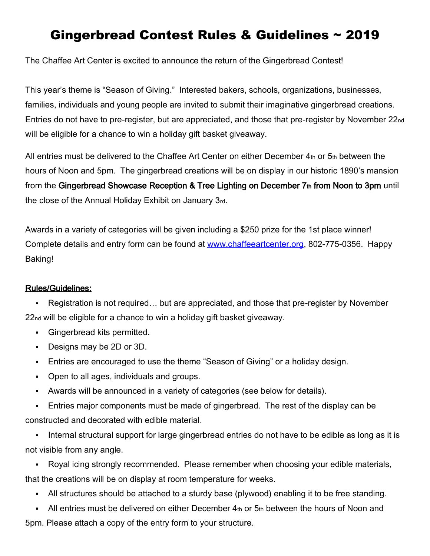# Gingerbread Contest Rules & Guidelines ~ 2019

The Chaffee Art Center is excited to announce the return of the Gingerbread Contest!

This year's theme is "Season of Giving." Interested bakers, schools, organizations, businesses, families, individuals and young people are invited to submit their imaginative gingerbread creations. Entries do not have to pre-register, but are appreciated, and those that pre-register by November 22nd will be eligible for a chance to win a holiday gift basket giveaway.

All entries must be delivered to the Chaffee Art Center on either December  $4<sub>th</sub>$  or  $5<sub>th</sub>$  between the hours of Noon and 5pm. The gingerbread creations will be on display in our historic 1890's mansion from the Gingerbread Showcase Reception & Tree Lighting on December 7th from Noon to 3pm until the close of the Annual Holiday Exhibit on January 3rd.

Awards in a variety of categories will be given including a \$250 prize for the 1st place winner! Complete details and entry form can be found at [www.chaffeeartcenter.org,](http://www.chaffeeartcenter.org/) 802-775-0356. Happy Baking!

#### Rules/Guidelines:

▪ Registration is not required… but are appreciated, and those that pre-register by November 22nd will be eligible for a chance to win a holiday gift basket giveaway.

- Gingerbread kits permitted.
- Designs may be 2D or 3D.
- Entries are encouraged to use the theme "Season of Giving" or a holiday design.
- Open to all ages, individuals and groups.
- Awards will be announced in a variety of categories (see below for details).
- **Entries major components must be made of gingerbread. The rest of the display can be** constructed and decorated with edible material.

▪ Internal structural support for large gingerbread entries do not have to be edible as long as it is not visible from any angle.

• Royal icing strongly recommended. Please remember when choosing your edible materials, that the creations will be on display at room temperature for weeks.

- All structures should be attached to a sturdy base (plywood) enabling it to be free standing.
- $\blacksquare$  All entries must be delivered on either December  $4<sub>th</sub>$  or  $5<sub>th</sub>$  between the hours of Noon and 5pm. Please attach a copy of the entry form to your structure.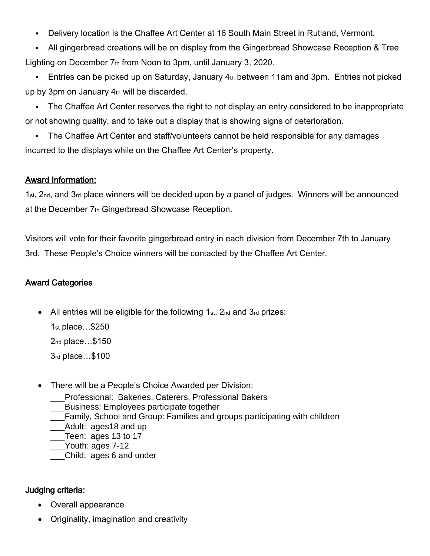- Delivery location is the Chaffee Art Center at 16 South Main Street in Rutland, Vermont.
- All gingerbread creations will be on display from the Gingerbread Showcase Reception & Tree Lighting on December 7th from Noon to 3pm, until January 3, 2020.
- **Entries can be picked up on Saturday, January 4th between 11am and 3pm. Entries not picked** up by 3pm on January  $4<sub>th</sub>$  will be discarded.
- The Chaffee Art Center reserves the right to not display an entry considered to be inappropriate or not showing quality, and to take out a display that is showing signs of deterioration.
- The Chaffee Art Center and staff/volunteers cannot be held responsible for any damages incurred to the displays while on the Chaffee Art Center's property.

#### Award Information:

1st, 2nd, and 3rd place winners will be decided upon by a panel of judges. Winners will be announced at the December 7th Gingerbread Showcase Reception.

Visitors will vote for their favorite gingerbread entry in each division from December 7th to January 3rd. These People's Choice winners will be contacted by the Chaffee Art Center.

#### Award Categories

All entries will be eligible for the following  $1<sub>st</sub>$ ,  $2<sub>nd</sub>$  and  $3<sub>rd</sub>$  prizes:

1st place…\$250 2nd place…\$150 3rd place…\$100

- There will be a People's Choice Awarded per Division:
	- \_\_\_Professional: Bakeries, Caterers, Professional Bakers
	- \_\_\_Business: Employees participate together
	- \_\_\_Family, School and Group: Families and groups participating with children
	- \_\_\_Adult: ages18 and up
	- \_\_\_Teen: ages 13 to 17
	- Youth: ages 7-12
	- \_\_\_Child: ages 6 and under

### Judging criteria:

- Overall appearance
- Originality, imagination and creativity